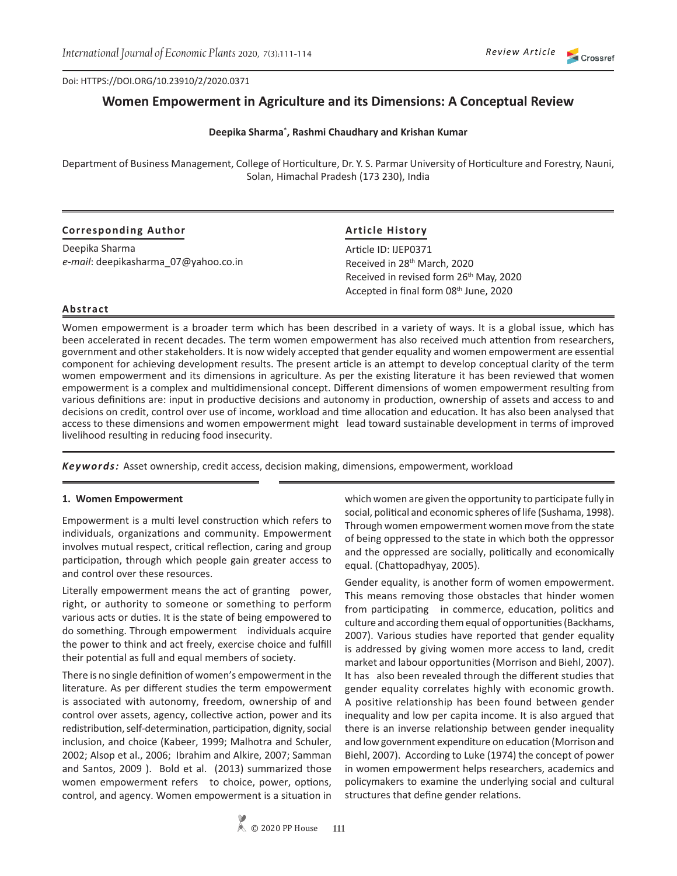Doi: HTTPS://DOI.ORG/10.23910/2/2020.0371

# **Women Empowerment in Agriculture and its Dimensions: A Conceptual Review**

#### **Deepika Sharma\* , Rashmi Chaudhary and Krishan Kumar**

Department of Business Management, College of Horticulture, Dr. Y. S. Parmar University of Horticulture and Forestry, Nauni, Solan, Himachal Pradesh (173 230), India

| <b>Corresponding Author</b>          | <b>Article History</b>                                                                        |
|--------------------------------------|-----------------------------------------------------------------------------------------------|
| Deepika Sharma                       | Article ID: IJEP0371                                                                          |
| e-mail: deepikasharma 07@yahoo.co.in | Received in 28 <sup>th</sup> March, 2020                                                      |
|                                      | Received in revised form 26 <sup>th</sup> May, 2020<br>Accepted in final form 08th June, 2020 |

#### **Abstract**

Women empowerment is a broader term which has been described in a variety of ways. It is a global issue, which has been accelerated in recent decades. The term women empowerment has also received much attention from researchers, government and other stakeholders. It is now widely accepted that gender equality and women empowerment are essential component for achieving development results. The present article is an attempt to develop conceptual clarity of the term women empowerment and its dimensions in agriculture. As per the existing literature it has been reviewed that women empowerment is a complex and multidimensional concept. Different dimensions of women empowerment resulting from various definitions are: input in productive decisions and autonomy in production, ownership of assets and access to and decisions on credit, control over use of income, workload and time allocation and education. It has also been analysed that access to these dimensions and women empowerment might lead toward sustainable development in terms of improved livelihood resulting in reducing food insecurity.

*Keywords:* Asset ownership, credit access, decision making, dimensions, empowerment, workload

#### **1. Women Empowerment**

Empowerment is a multi level construction which refers to individuals, organizations and community. Empowerment involves mutual respect, critical reflection, caring and group participation, through which people gain greater access to and control over these resources.

Literally empowerment means the act of granting power, right, or authority to someone or something to perform various acts or duties. It is the state of being empowered to do something. Through empowerment individuals acquire the power to think and act freely, exercise choice and fulfill their potential as full and equal members of society.

There is no single definition of women's empowerment in the literature. As per different studies the term empowerment is associated with autonomy, freedom, ownership of and control over assets, agency, collective action, power and its redistribution, self-determination, participation, dignity, social inclusion, and choice (Kabeer, 1999; Malhotra and Schuler, 2002; Alsop et al., 2006; Ibrahim and Alkire, 2007; Samman and Santos, 2009 ). Bold et al. (2013) summarized those women empowerment refers to choice, power, options, control, and agency. Women empowerment is a situation in

which women are given the opportunity to participate fully in social, political and economic spheres of life (Sushama, 1998). Through women empowerment women move from the state of being oppressed to the state in which both the oppressor and the oppressed are socially, politically and economically equal. (Chattopadhyay, 2005).

Gender equality, is another form of women empowerment. This means removing those obstacles that hinder women from participating in commerce, education, politics and culture and according them equal of opportunities (Backhams, 2007). Various studies have reported that gender equality is addressed by giving women more access to land, credit market and labour opportunities (Morrison and Biehl, 2007). It has also been revealed through the different studies that gender equality correlates highly with economic growth. A positive relationship has been found between gender inequality and low per capita income. It is also argued that there is an inverse relationship between gender inequality and low government expenditure on education (Morrison and Biehl, 2007). According to Luke (1974) the concept of power in women empowerment helps researchers, academics and policymakers to examine the underlying social and cultural structures that define gender relations.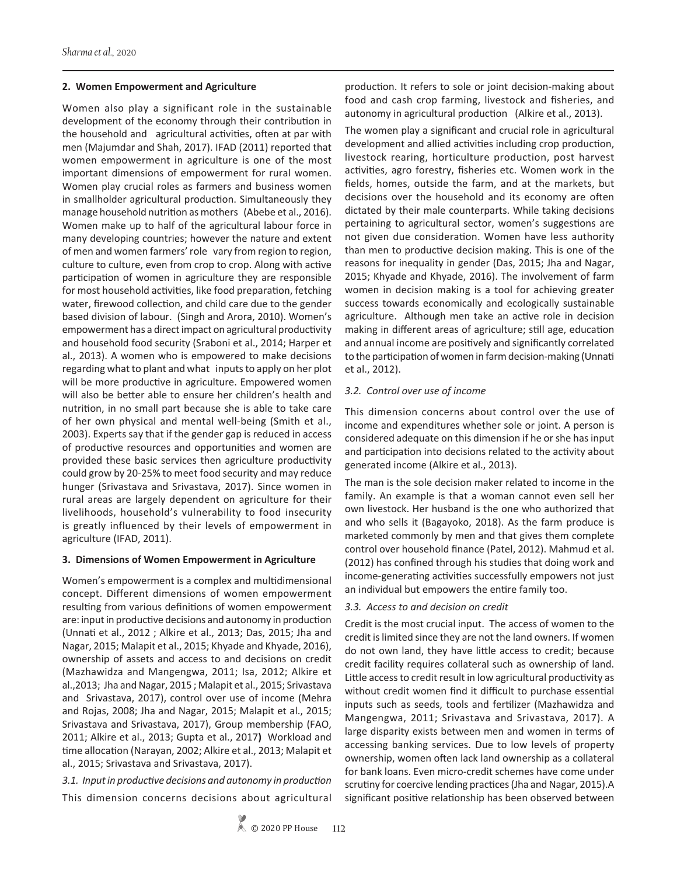#### **2. Women Empowerment and Agriculture**

Women also play a significant role in the sustainable development of the economy through their contribution in the household and agricultural activities, often at par with men (Majumdar and Shah, 2017). IFAD (2011) reported that women empowerment in agriculture is one of the most important dimensions of empowerment for rural women. Women play crucial roles as farmers and business women in smallholder agricultural production. Simultaneously they manage household nutrition as mothers (Abebe et al., 2016). Women make up to half of the agricultural labour force in many developing countries; however the nature and extent of men and women farmers' role vary from region to region, culture to culture, even from crop to crop. Along with active participation of women in agriculture they are responsible for most household activities, like food preparation, fetching water, firewood collection, and child care due to the gender based division of labour. (Singh and Arora, 2010). Women's empowerment has a direct impact on agricultural productivity and household food security (Sraboni et al., 2014; Harper et al., 2013). A women who is empowered to make decisions regarding what to plant and what inputs to apply on her plot will be more productive in agriculture. Empowered women will also be better able to ensure her children's health and nutrition, in no small part because she is able to take care of her own physical and mental well-being (Smith et al., 2003). Experts say that if the gender gap is reduced in access of productive resources and opportunities and women are provided these basic services then agriculture productivity could grow by 20-25% to meet food security and may reduce hunger (Srivastava and Srivastava, 2017). Since women in rural areas are largely dependent on agriculture for their livelihoods, household's vulnerability to food insecurity is greatly influenced by their levels of empowerment in agriculture (IFAD, 2011).

### **3. Dimensions of Women Empowerment in Agriculture**

Women's empowerment is a complex and multidimensional concept. Different dimensions of women empowerment resulting from various definitions of women empowerment are: input in productive decisions and autonomy in production (Unnati et al., 2012 ; Alkire et al., 2013; Das, 2015; Jha and Nagar, 2015; Malapit et al., 2015; Khyade and Khyade, 2016), ownership of assets and access to and decisions on credit (Mazhawidza and Mangengwa, 2011; Isa, 2012; Alkire et al.,2013; Jha and Nagar, 2015 ; Malapit et al., 2015; Srivastava and Srivastava, 2017), control over use of income (Mehra and Rojas, 2008; Jha and Nagar, 2015; Malapit et al., 2015; Srivastava and Srivastava, 2017), Group membership (FAO, 2011; Alkire et al., 2013; Gupta et al., 2017**)** Workload and time allocation (Narayan, 2002; Alkire et al., 2013; Malapit et al., 2015; Srivastava and Srivastava, 2017).

*3.1. Input in productive decisions and autonomy in production*  This dimension concerns decisions about agricultural production. It refers to sole or joint decision-making about food and cash crop farming, livestock and fisheries, and autonomy in agricultural production (Alkire et al., 2013).

The women play a significant and crucial role in agricultural development and allied activities including crop production, livestock rearing, horticulture production, post harvest activities, agro forestry, fisheries etc. Women work in the fields, homes, outside the farm, and at the markets, but decisions over the household and its economy are often dictated by their male counterparts. While taking decisions pertaining to agricultural sector, women's suggestions are not given due consideration. Women have less authority than men to productive decision making. This is one of the reasons for inequality in gender (Das, 2015; Jha and Nagar, 2015; Khyade and Khyade, 2016). The involvement of farm women in decision making is a tool for achieving greater success towards economically and ecologically sustainable agriculture. Although men take an active role in decision making in different areas of agriculture; still age, education and annual income are positively and significantly correlated to the participation of women in farm decision-making (Unnati et al., 2012).

### *3.2. Control over use of income*

This dimension concerns about control over the use of income and expenditures whether sole or joint. A person is considered adequate on this dimension if he or she has input and participation into decisions related to the activity about generated income (Alkire et al., 2013).

The man is the sole decision maker related to income in the family. An example is that a woman cannot even sell her own livestock. Her husband is the one who authorized that and who sells it (Bagayoko, 2018). As the farm produce is marketed commonly by men and that gives them complete control over household finance (Patel, 2012). Mahmud et al. (2012) has confined through his studies that doing work and income-generating activities successfully empowers not just an individual but empowers the entire family too.

### *3.3. Access to and decision on credit*

Credit is the most crucial input. The access of women to the credit is limited since they are not the land owners. If women do not own land, they have little access to credit; because credit facility requires collateral such as ownership of land. Little access to credit result in low agricultural productivity as without credit women find it difficult to purchase essential inputs such as seeds, tools and fertilizer (Mazhawidza and Mangengwa, 2011; Srivastava and Srivastava, 2017). A large disparity exists between men and women in terms of accessing banking services. Due to low levels of property ownership, women often lack land ownership as a collateral for bank loans. Even micro-credit schemes have come under scrutiny for coercive lending practices (Jha and Nagar, 2015).A significant positive relationship has been observed between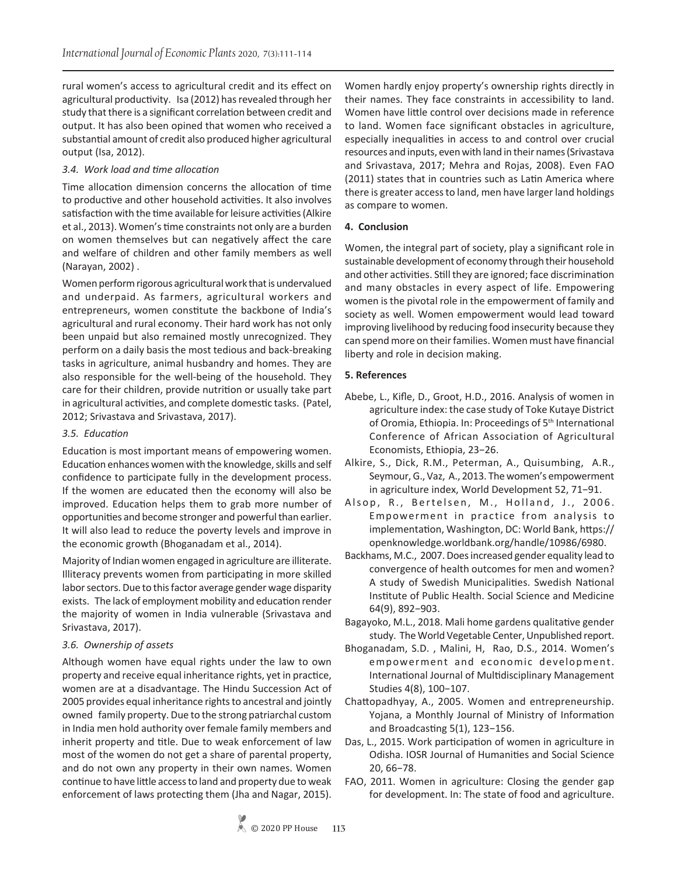rural women's access to agricultural credit and its effect on agricultural productivity. Isa (2012) has revealed through her study that there is a significant correlation between credit and output. It has also been opined that women who received a substantial amount of credit also produced higher agricultural output (Isa, 2012).

### *3.4. Work load and time allocation*

Time allocation dimension concerns the allocation of time to productive and other household activities. It also involves satisfaction with the time available for leisure activities (Alkire et al., 2013). Women's time constraints not only are a burden on women themselves but can negatively affect the care and welfare of children and other family members as well (Narayan, 2002) .

Women perform rigorous agricultural work that is undervalued and underpaid. As farmers, agricultural workers and entrepreneurs, women constitute the backbone of India's agricultural and rural economy. Their hard work has not only been unpaid but also remained mostly unrecognized. They perform on a daily basis the most tedious and back-breaking tasks in agriculture, animal husbandry and homes. They are also responsible for the well-being of the household. They care for their children, provide nutrition or usually take part in agricultural activities, and complete domestic tasks. (Patel, 2012; Srivastava and Srivastava, 2017).

## *3.5. Education*

Education is most important means of empowering women. Education enhances women with the knowledge, skills and self confidence to participate fully in the development process. If the women are educated then the economy will also be improved. Education helps them to grab more number of opportunities and become stronger and powerful than earlier. It will also lead to reduce the poverty levels and improve in the economic growth (Bhoganadam et al., 2014).

Majority of Indian women engaged in agriculture are illiterate. Illiteracy prevents women from participating in more skilled labor sectors. Due to this factor average gender wage disparity exists. The lack of employment mobility and education render the majority of women in India vulnerable (Srivastava and Srivastava, 2017).

# *3.6. Ownership of assets*

Although women have equal rights under the law to own property and receive equal inheritance rights, yet in practice, women are at a disadvantage. The Hindu Succession Act of 2005 provides equal inheritance rights to ancestral and jointly owned family property. Due to the strong patriarchal custom in India men hold authority over female family members and inherit property and title. Due to weak enforcement of law most of the women do not get a share of parental property, and do not own any property in their own names. Women continue to have little access to land and property due to weak enforcement of laws protecting them (Jha and Nagar, 2015).

Women hardly enjoy property's ownership rights directly in their names. They face constraints in accessibility to land. Women have little control over decisions made in reference to land. Women face significant obstacles in agriculture, especially inequalities in access to and control over crucial resources and inputs, even with land in their names (Srivastava and Srivastava, 2017; Mehra and Rojas, 2008). Even FAO (2011) states that in countries such as Latin America where there is greater access to land, men have larger land holdings as compare to women.

## **4. Conclusion**

Women, the integral part of society, play a significant role in sustainable development of economy through their household and other activities. Still they are ignored; face discrimination and many obstacles in every aspect of life. Empowering women is the pivotal role in the empowerment of family and society as well. Women empowerment would lead toward improving livelihood by reducing food insecurity because they can spend more on their families. Women must have financial liberty and role in decision making.

## **5. References**

- Abebe, L., Kifle, D., Groot, H.D., 2016. Analysis of women in agriculture index: the case study of Toke Kutaye District of Oromia, Ethiopia. In: Proceedings of 5<sup>th</sup> International Conference of African Association of Agricultural Economists, Ethiopia, 23−26.
- Alkire, S., Dick, R.M., Peterman, A., Quisumbing, A.R., Seymour, G., Vaz, A., 2013. The women's empowerment in agriculture index, World Development 52, 71−91.
- Alsop, R., Bertelsen, M., Holland, J., 2006. Empowerment in practice from analysis to implementation, Washington, DC: World Bank, https:// openknowledge.worldbank.org/handle/10986/6980.
- Backhams, M.C., 2007. Does increased gender equality lead to convergence of health outcomes for men and women? A study of Swedish Municipalities. Swedish National Institute of Public Health. Social Science and Medicine 64(9), 892−903.
- Bagayoko, M.L., 2018. Mali home gardens qualitative gender study. The World Vegetable Center, Unpublished report.
- Bhoganadam, S.D. , Malini, H, Rao, D.S., 2014. Women's empowerment and economic development. International Journal of Multidisciplinary Management Studies 4(8), 100−107.
- Chattopadhyay, A., 2005. Women and entrepreneurship. Yojana, a Monthly Journal of Ministry of Information and Broadcasting 5(1), 123−156.
- Das, L., 2015. Work participation of women in agriculture in Odisha. IOSR Journal of Humanities and Social Science 20, 66−78.
- FAO, 2011. Women in agriculture: Closing the gender gap for development. In: The state of food and agriculture.